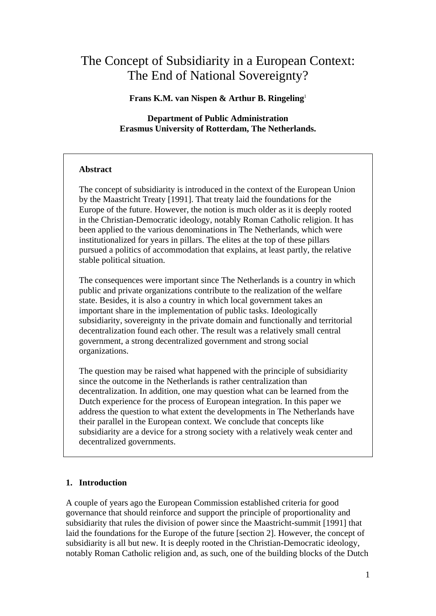# The Concept of Subsidiarity in a European Context: The End of National Sovereignty?

**Frans K.M. van Nispen & Arthur B. Ringeling**<sup>1</sup>

**Department of Public Administration Erasmus University of Rotterdam, The Netherlands.** 

# **Abstract**

The concept of subsidiarity is introduced in the context of the European Union by the Maastricht Treaty [1991]. That treaty laid the foundations for the Europe of the future. However, the notion is much older as it is deeply rooted in the Christian-Democratic ideology, notably Roman Catholic religion. It has been applied to the various denominations in The Netherlands, which were institutionalized for years in pillars. The elites at the top of these pillars pursued a politics of accommodation that explains, at least partly, the relative stable political situation.

The consequences were important since The Netherlands is a country in which public and private organizations contribute to the realization of the welfare state. Besides, it is also a country in which local government takes an important share in the implementation of public tasks. Ideologically subsidiarity, sovereignty in the private domain and functionally and territorial decentralization found each other. The result was a relatively small central government, a strong decentralized government and strong social organizations.

The question may be raised what happened with the principle of subsidiarity since the outcome in the Netherlands is rather centralization than decentralization. In addition, one may question what can be learned from the Dutch experience for the process of European integration. In this paper we address the question to what extent the developments in The Netherlands have their parallel in the European context. We conclude that concepts like subsidiarity are a device for a strong society with a relatively weak center and decentralized governments.

# **1. Introduction**

A couple of years ago the European Commission established criteria for good governance that should reinforce and support the principle of proportionality and subsidiarity that rules the division of power since the Maastricht-summit [1991] that laid the foundations for the Europe of the future [section 2]. However, the concept of subsidiarity is all but new. It is deeply rooted in the Christian-Democratic ideology, notably Roman Catholic religion and, as such, one of the building blocks of the Dutch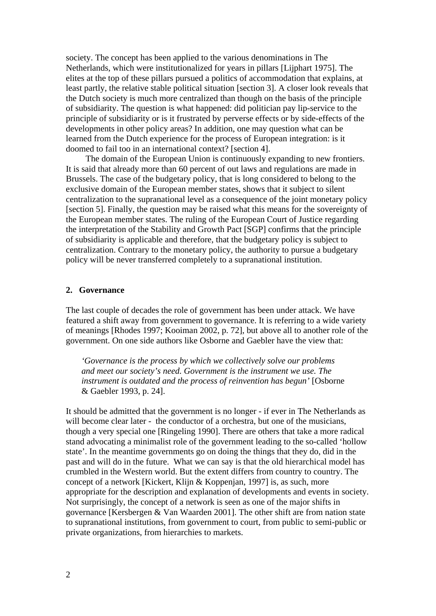society. The concept has been applied to the various denominations in The Netherlands, which were institutionalized for years in pillars [Lijphart 1975]. The elites at the top of these pillars pursued a politics of accommodation that explains, at least partly, the relative stable political situation [section 3]. A closer look reveals that the Dutch society is much more centralized than though on the basis of the principle of subsidiarity. The question is what happened: did politician pay lip-service to the principle of subsidiarity or is it frustrated by perverse effects or by side-effects of the developments in other policy areas? In addition, one may question what can be learned from the Dutch experience for the process of European integration: is it doomed to fail too in an international context? [section 4].

The domain of the European Union is continuously expanding to new frontiers. It is said that already more than 60 percent of out laws and regulations are made in Brussels. The case of the budgetary policy, that is long considered to belong to the exclusive domain of the European member states, shows that it subject to silent centralization to the supranational level as a consequence of the joint monetary policy [section 5]. Finally, the question may be raised what this means for the sovereignty of the European member states. The ruling of the European Court of Justice regarding the interpretation of the Stability and Growth Pact [SGP] confirms that the principle of subsidiarity is applicable and therefore, that the budgetary policy is subject to centralization. Contrary to the monetary policy, the authority to pursue a budgetary policy will be never transferred completely to a supranational institution.

#### **2. Governance**

The last couple of decades the role of government has been under attack. We have featured a shift away from government to governance. It is referring to a wide variety of meanings [Rhodes 1997; Kooiman 2002, p. 72], but above all to another role of the government. On one side authors like Osborne and Gaebler have the view that:

*'Governance is the process by which we collectively solve our problems and meet our society's need. Government is the instrument we use. The instrument is outdated and the process of reinvention has begun'* [Osborne & Gaebler 1993, p. 24].

It should be admitted that the government is no longer - if ever in The Netherlands as will become clear later - the conductor of a orchestra, but one of the musicians, though a very special one [Ringeling 1990]. There are others that take a more radical stand advocating a minimalist role of the government leading to the so-called 'hollow state'. In the meantime governments go on doing the things that they do, did in the past and will do in the future. What we can say is that the old hierarchical model has crumbled in the Western world. But the extent differs from country to country. The concept of a network [Kickert, Klijn & Koppenjan, 1997] is, as such, more appropriate for the description and explanation of developments and events in society. Not surprisingly, the concept of a network is seen as one of the major shifts in governance [Kersbergen & Van Waarden 2001]. The other shift are from nation state to supranational institutions, from government to court, from public to semi-public or private organizations, from hierarchies to markets.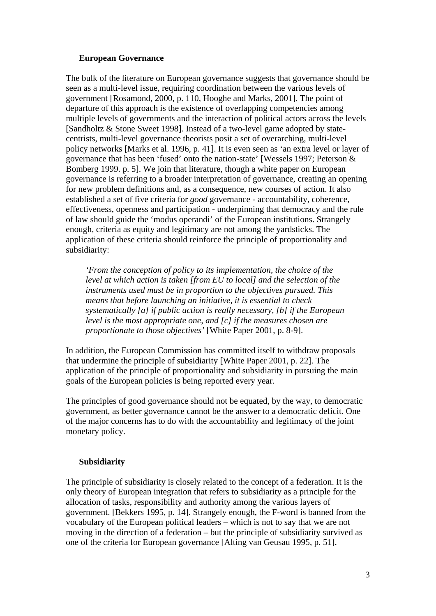#### **European Governance**

The bulk of the literature on European governance suggests that governance should be seen as a multi-level issue, requiring coordination between the various levels of government [Rosamond, 2000, p. 110, Hooghe and Marks, 2001]. The point of departure of this approach is the existence of overlapping competencies among multiple levels of governments and the interaction of political actors across the levels [Sandholtz & Stone Sweet 1998]. Instead of a two-level game adopted by statecentrists, multi-level governance theorists posit a set of overarching, multi-level policy networks [Marks et al. 1996, p. 41]. It is even seen as 'an extra level or layer of governance that has been 'fused' onto the nation-state' [Wessels 1997; Peterson & Bomberg 1999. p. 5]. We join that literature, though a white paper on European governance is referring to a broader interpretation of governance, creating an opening for new problem definitions and, as a consequence, new courses of action. It also established a set of five criteria for *good* governance - accountability, coherence, effectiveness, openness and participation - underpinning that democracy and the rule of law should guide the 'modus operandi' of the European institutions. Strangely enough, criteria as equity and legitimacy are not among the yardsticks. The application of these criteria should reinforce the principle of proportionality and subsidiarity:

*'From the conception of policy to its implementation, the choice of the level at which action is taken [from EU to local] and the selection of the instruments used must be in proportion to the objectives pursued. This means that before launching an initiative, it is essential to check systematically [a] if public action is really necessary, [b] if the European level is the most appropriate one, and [c] if the measures chosen are proportionate to those objectives'* [White Paper 2001, p. 8-9].

In addition, the European Commission has committed itself to withdraw proposals that undermine the principle of subsidiarity [White Paper 2001, p. 22]. The application of the principle of proportionality and subsidiarity in pursuing the main goals of the European policies is being reported every year.

The principles of good governance should not be equated, by the way, to democratic government, as better governance cannot be the answer to a democratic deficit. One of the major concerns has to do with the accountability and legitimacy of the joint monetary policy.

# **Subsidiarity**

The principle of subsidiarity is closely related to the concept of a federation. It is the only theory of European integration that refers to subsidiarity as a principle for the allocation of tasks, responsibility and authority among the various layers of government. [Bekkers 1995, p. 14]. Strangely enough, the F-word is banned from the vocabulary of the European political leaders – which is not to say that we are not moving in the direction of a federation – but the principle of subsidiarity survived as one of the criteria for European governance [Alting van Geusau 1995, p. 51].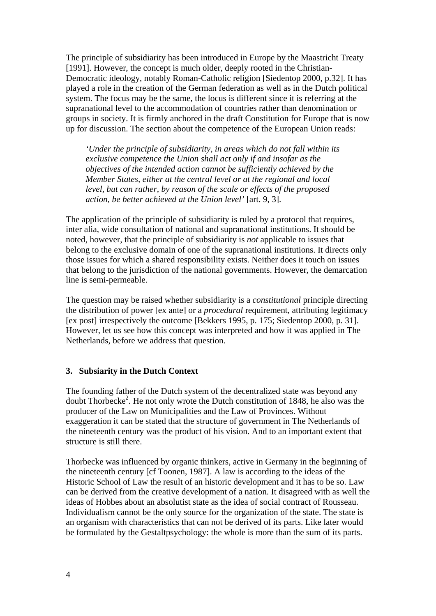The principle of subsidiarity has been introduced in Europe by the Maastricht Treaty [1991]. However, the concept is much older, deeply rooted in the Christian-Democratic ideology, notably Roman-Catholic religion [Siedentop 2000, p.32]. It has played a role in the creation of the German federation as well as in the Dutch political system. The focus may be the same, the locus is different since it is referring at the supranational level to the accommodation of countries rather than denomination or groups in society. It is firmly anchored in the draft Constitution for Europe that is now up for discussion. The section about the competence of the European Union reads:

*'Under the principle of subsidiarity, in areas which do not fall within its exclusive competence the Union shall act only if and insofar as the objectives of the intended action cannot be sufficiently achieved by the Member States, either at the central level or at the regional and local level, but can rather, by reason of the scale or effects of the proposed action, be better achieved at the Union level'* [art. 9, 3].

The application of the principle of subsidiarity is ruled by a protocol that requires, inter alia, wide consultation of national and supranational institutions. It should be noted, however, that the principle of subsidiarity is *not* applicable to issues that belong to the exclusive domain of one of the supranational institutions. It directs only those issues for which a shared responsibility exists. Neither does it touch on issues that belong to the jurisdiction of the national governments. However, the demarcation line is semi-permeable.

The question may be raised whether subsidiarity is a *constitutional* principle directing the distribution of power [ex ante] or a *procedural* requirement, attributing legitimacy [ex post] irrespectively the outcome [Bekkers 1995, p. 175; Siedentop 2000, p. 31]. However, let us see how this concept was interpreted and how it was applied in The Netherlands, before we address that question.

# **3. Subsiarity in the Dutch Context**

The founding father of the Dutch system of the decentralized state was beyond any doubt Thorbecke<sup>2</sup>. He not only wrote the Dutch constitution of 1848, he also was the producer of the Law on Municipalities and the Law of Provinces. Without exaggeration it can be stated that the structure of government in The Netherlands of the nineteenth century was the product of his vision. And to an important extent that structure is still there.

Thorbecke was influenced by organic thinkers, active in Germany in the beginning of the nineteenth century [cf Toonen, 1987]. A law is according to the ideas of the Historic School of Law the result of an historic development and it has to be so. Law can be derived from the creative development of a nation. It disagreed with as well the ideas of Hobbes about an absolutist state as the idea of social contract of Rousseau. Individualism cannot be the only source for the organization of the state. The state is an organism with characteristics that can not be derived of its parts. Like later would be formulated by the Gestaltpsychology: the whole is more than the sum of its parts.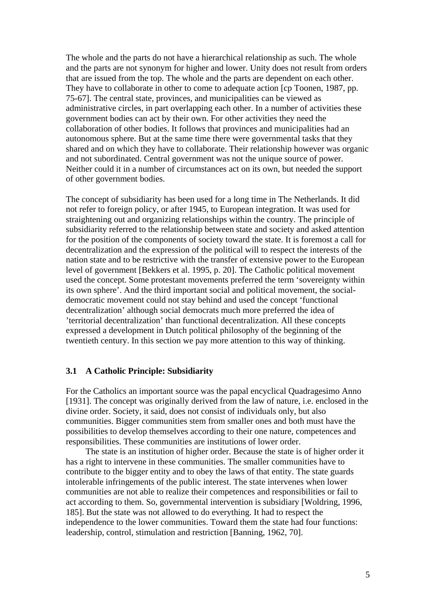The whole and the parts do not have a hierarchical relationship as such. The whole and the parts are not synonym for higher and lower. Unity does not result from orders that are issued from the top. The whole and the parts are dependent on each other. They have to collaborate in other to come to adequate action [cp Toonen, 1987, pp. 75-67]. The central state, provinces, and municipalities can be viewed as administrative circles, in part overlapping each other. In a number of activities these government bodies can act by their own. For other activities they need the collaboration of other bodies. It follows that provinces and municipalities had an autonomous sphere. But at the same time there were governmental tasks that they shared and on which they have to collaborate. Their relationship however was organic and not subordinated. Central government was not the unique source of power. Neither could it in a number of circumstances act on its own, but needed the support of other government bodies.

The concept of subsidiarity has been used for a long time in The Netherlands. It did not refer to foreign policy, or after 1945, to European integration. It was used for straightening out and organizing relationships within the country. The principle of subsidiarity referred to the relationship between state and society and asked attention for the position of the components of society toward the state. It is foremost a call for decentralization and the expression of the political will to respect the interests of the nation state and to be restrictive with the transfer of extensive power to the European level of government [Bekkers et al. 1995, p. 20]. The Catholic political movement used the concept. Some protestant movements preferred the term 'sovereignty within its own sphere'. And the third important social and political movement, the socialdemocratic movement could not stay behind and used the concept 'functional decentralization' although social democrats much more preferred the idea of 'territorial decentralization' than functional decentralization. All these concepts expressed a development in Dutch political philosophy of the beginning of the twentieth century. In this section we pay more attention to this way of thinking.

#### **3.1 A Catholic Principle: Subsidiarity**

For the Catholics an important source was the papal encyclical Quadragesimo Anno [1931]. The concept was originally derived from the law of nature, i.e. enclosed in the divine order. Society, it said, does not consist of individuals only, but also communities. Bigger communities stem from smaller ones and both must have the possibilities to develop themselves according to their one nature, competences and responsibilities. These communities are institutions of lower order.

The state is an institution of higher order. Because the state is of higher order it has a right to intervene in these communities. The smaller communities have to contribute to the bigger entity and to obey the laws of that entity. The state guards intolerable infringements of the public interest. The state intervenes when lower communities are not able to realize their competences and responsibilities or fail to act according to them. So, governmental intervention is subsidiary [Woldring, 1996, 185]. But the state was not allowed to do everything. It had to respect the independence to the lower communities. Toward them the state had four functions: leadership, control, stimulation and restriction [Banning, 1962, 70].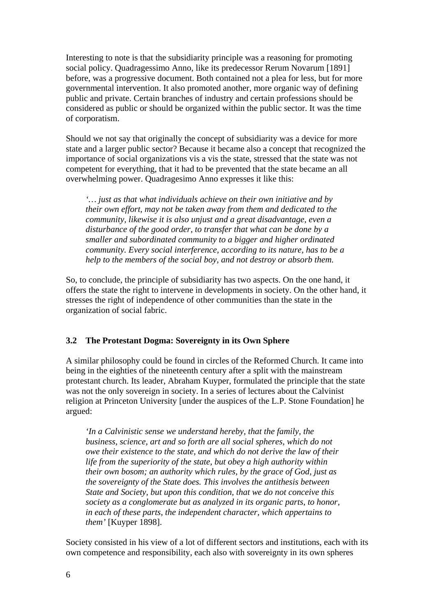Interesting to note is that the subsidiarity principle was a reasoning for promoting social policy. Quadragessimo Anno, like its predecessor Rerum Novarum [1891] before, was a progressive document. Both contained not a plea for less, but for more governmental intervention. It also promoted another, more organic way of defining public and private. Certain branches of industry and certain professions should be considered as public or should be organized within the public sector. It was the time of corporatism.

Should we not say that originally the concept of subsidiarity was a device for more state and a larger public sector? Because it became also a concept that recognized the importance of social organizations vis a vis the state, stressed that the state was not competent for everything, that it had to be prevented that the state became an all overwhelming power. Quadragesimo Anno expresses it like this:

*'… just as that what individuals achieve on their own initiative and by their own effort, may not be taken away from them and dedicated to the community, likewise it is also unjust and a great disadvantage, even a disturbance of the good order, to transfer that what can be done by a smaller and subordinated community to a bigger and higher ordinated community. Every social interference, according to its nature, has to be a help to the members of the social boy, and not destroy or absorb them.* 

So, to conclude, the principle of subsidiarity has two aspects. On the one hand, it offers the state the right to intervene in developments in society. On the other hand, it stresses the right of independence of other communities than the state in the organization of social fabric.

# **3.2 The Protestant Dogma: Sovereignty in its Own Sphere**

A similar philosophy could be found in circles of the Reformed Church. It came into being in the eighties of the nineteenth century after a split with the mainstream protestant church. Its leader, Abraham Kuyper, formulated the principle that the state was not the only sovereign in society. In a series of lectures about the Calvinist religion at Princeton University [under the auspices of the L.P. Stone Foundation] he argued:

*'In a Calvinistic sense we understand hereby, that the family, the business, science, art and so forth are all social spheres, which do not owe their existence to the state, and which do not derive the law of their life from the superiority of the state, but obey a high authority within their own bosom; an authority which rules, by the grace of God, just as the sovereignty of the State does. This involves the antithesis between State and Society, but upon this condition, that we do not conceive this society as a conglomerate but as analyzed in its organic parts, to honor, in each of these parts, the independent character, which appertains to them'* [Kuyper 1898].

Society consisted in his view of a lot of different sectors and institutions, each with its own competence and responsibility, each also with sovereignty in its own spheres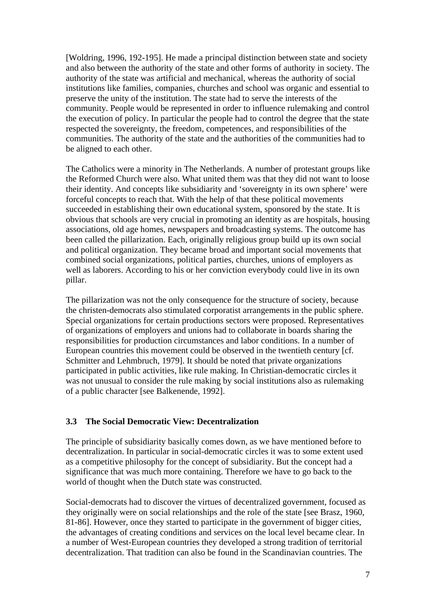[Woldring, 1996, 192-195]. He made a principal distinction between state and society and also between the authority of the state and other forms of authority in society. The authority of the state was artificial and mechanical, whereas the authority of social institutions like families, companies, churches and school was organic and essential to preserve the unity of the institution. The state had to serve the interests of the community. People would be represented in order to influence rulemaking and control the execution of policy. In particular the people had to control the degree that the state respected the sovereignty, the freedom, competences, and responsibilities of the communities. The authority of the state and the authorities of the communities had to be aligned to each other.

The Catholics were a minority in The Netherlands. A number of protestant groups like the Reformed Church were also. What united them was that they did not want to loose their identity. And concepts like subsidiarity and 'sovereignty in its own sphere' were forceful concepts to reach that. With the help of that these political movements succeeded in establishing their own educational system, sponsored by the state. It is obvious that schools are very crucial in promoting an identity as are hospitals, housing associations, old age homes, newspapers and broadcasting systems. The outcome has been called the pillarization. Each, originally religious group build up its own social and political organization. They became broad and important social movements that combined social organizations, political parties, churches, unions of employers as well as laborers. According to his or her conviction everybody could live in its own pillar.

The pillarization was not the only consequence for the structure of society, because the christen-democrats also stimulated corporatist arrangements in the public sphere. Special organizations for certain productions sectors were proposed. Representatives of organizations of employers and unions had to collaborate in boards sharing the responsibilities for production circumstances and labor conditions. In a number of European countries this movement could be observed in the twentieth century [cf. Schmitter and Lehmbruch, 1979]. It should be noted that private organizations participated in public activities, like rule making. In Christian-democratic circles it was not unusual to consider the rule making by social institutions also as rulemaking of a public character [see Balkenende, 1992].

# **3.3 The Social Democratic View: Decentralization**

The principle of subsidiarity basically comes down, as we have mentioned before to decentralization. In particular in social-democratic circles it was to some extent used as a competitive philosophy for the concept of subsidiarity. But the concept had a significance that was much more containing. Therefore we have to go back to the world of thought when the Dutch state was constructed.

Social-democrats had to discover the virtues of decentralized government, focused as they originally were on social relationships and the role of the state [see Brasz, 1960, 81-86]. However, once they started to participate in the government of bigger cities, the advantages of creating conditions and services on the local level became clear. In a number of West-European countries they developed a strong tradition of territorial decentralization. That tradition can also be found in the Scandinavian countries. The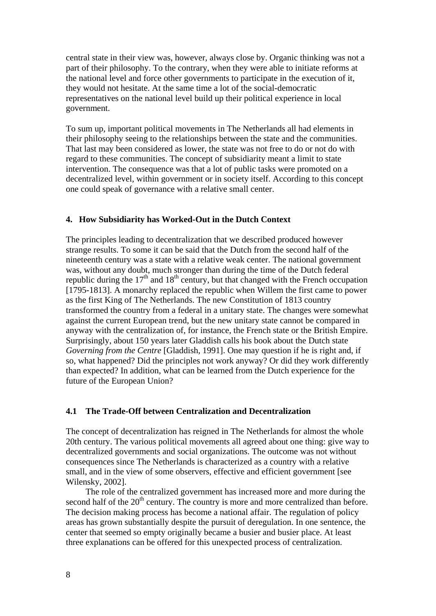central state in their view was, however, always close by. Organic thinking was not a part of their philosophy. To the contrary, when they were able to initiate reforms at the national level and force other governments to participate in the execution of it, they would not hesitate. At the same time a lot of the social-democratic representatives on the national level build up their political experience in local government.

To sum up, important political movements in The Netherlands all had elements in their philosophy seeing to the relationships between the state and the communities. That last may been considered as lower, the state was not free to do or not do with regard to these communities. The concept of subsidiarity meant a limit to state intervention. The consequence was that a lot of public tasks were promoted on a decentralized level, within government or in society itself. According to this concept one could speak of governance with a relative small center.

# **4. How Subsidiarity has Worked-Out in the Dutch Context**

The principles leading to decentralization that we described produced however strange results. To some it can be said that the Dutch from the second half of the nineteenth century was a state with a relative weak center. The national government was, without any doubt, much stronger than during the time of the Dutch federal republic during the  $17<sup>th</sup>$  and  $18<sup>th</sup>$  century, but that changed with the French occupation [1795-1813]. A monarchy replaced the republic when Willem the first came to power as the first King of The Netherlands. The new Constitution of 1813 country transformed the country from a federal in a unitary state. The changes were somewhat against the current European trend, but the new unitary state cannot be compared in anyway with the centralization of, for instance, the French state or the British Empire. Surprisingly, about 150 years later Gladdish calls his book about the Dutch state *Governing from the Centre* [Gladdish, 1991]. One may question if he is right and, if so, what happened? Did the principles not work anyway? Or did they work differently than expected? In addition, what can be learned from the Dutch experience for the future of the European Union?

#### **4.1 The Trade-Off between Centralization and Decentralization**

The concept of decentralization has reigned in The Netherlands for almost the whole 20th century. The various political movements all agreed about one thing: give way to decentralized governments and social organizations. The outcome was not without consequences since The Netherlands is characterized as a country with a relative small, and in the view of some observers, effective and efficient government [see Wilensky, 2002].

The role of the centralized government has increased more and more during the second half of the  $20<sup>th</sup>$  century. The country is more and more centralized than before. The decision making process has become a national affair. The regulation of policy areas has grown substantially despite the pursuit of deregulation. In one sentence, the center that seemed so empty originally became a busier and busier place. At least three explanations can be offered for this unexpected process of centralization.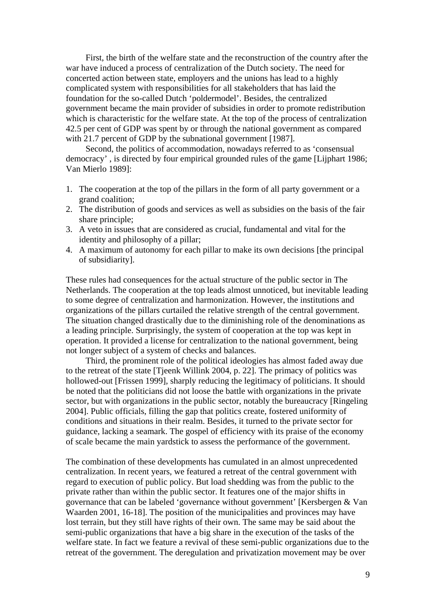First, the birth of the welfare state and the reconstruction of the country after the war have induced a process of centralization of the Dutch society. The need for concerted action between state, employers and the unions has lead to a highly complicated system with responsibilities for all stakeholders that has laid the foundation for the so-called Dutch 'poldermodel'. Besides, the centralized government became the main provider of subsidies in order to promote redistribution which is characteristic for the welfare state. At the top of the process of centralization 42.5 per cent of GDP was spent by or through the national government as compared with 21.7 percent of GDP by the subnational government [1987].

Second, the politics of accommodation, nowadays referred to as 'consensual democracy' , is directed by four empirical grounded rules of the game [Lijphart 1986; Van Mierlo 1989]:

- 1. The cooperation at the top of the pillars in the form of all party government or a grand coalition;
- 2. The distribution of goods and services as well as subsidies on the basis of the fair share principle;
- 3. A veto in issues that are considered as crucial, fundamental and vital for the identity and philosophy of a pillar;
- 4. A maximum of autonomy for each pillar to make its own decisions [the principal of subsidiarity].

These rules had consequences for the actual structure of the public sector in The Netherlands. The cooperation at the top leads almost unnoticed, but inevitable leading to some degree of centralization and harmonization. However, the institutions and organizations of the pillars curtailed the relative strength of the central government. The situation changed drastically due to the diminishing role of the denominations as a leading principle. Surprisingly, the system of cooperation at the top was kept in operation. It provided a license for centralization to the national government, being not longer subject of a system of checks and balances.

Third, the prominent role of the political ideologies has almost faded away due to the retreat of the state [Tjeenk Willink 2004, p. 22]. The primacy of politics was hollowed-out [Frissen 1999], sharply reducing the legitimacy of politicians. It should be noted that the politicians did not loose the battle with organizations in the private sector, but with organizations in the public sector, notably the bureaucracy [Ringeling 2004]. Public officials, filling the gap that politics create, fostered uniformity of conditions and situations in their realm. Besides, it turned to the private sector for guidance, lacking a seamark. The gospel of efficiency with its praise of the economy of scale became the main yardstick to assess the performance of the government.

The combination of these developments has cumulated in an almost unprecedented centralization. In recent years, we featured a retreat of the central government with regard to execution of public policy. But load shedding was from the public to the private rather than within the public sector. It features one of the major shifts in governance that can be labeled 'governance without government' [Kersbergen & Van Waarden 2001, 16-18]. The position of the municipalities and provinces may have lost terrain, but they still have rights of their own. The same may be said about the semi-public organizations that have a big share in the execution of the tasks of the welfare state. In fact we feature a revival of these semi-public organizations due to the retreat of the government. The deregulation and privatization movement may be over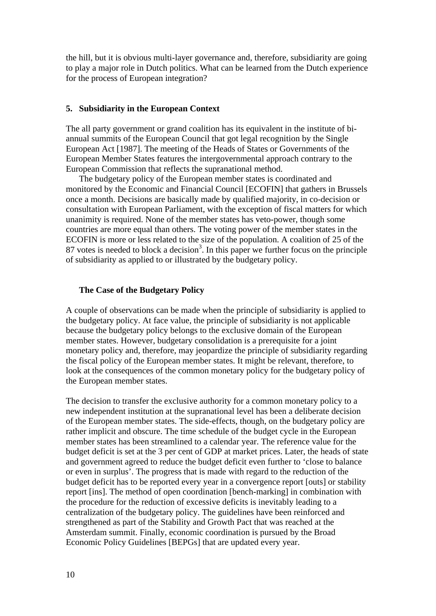the hill, but it is obvious multi-layer governance and, therefore, subsidiarity are going to play a major role in Dutch politics. What can be learned from the Dutch experience for the process of European integration?

#### **5. Subsidiarity in the European Context**

The all party government or grand coalition has its equivalent in the institute of biannual summits of the European Council that got legal recognition by the Single European Act [1987]. The meeting of the Heads of States or Governments of the European Member States features the intergovernmental approach contrary to the European Commission that reflects the supranational method.

The budgetary policy of the European member states is coordinated and monitored by the Economic and Financial Council [ECOFIN] that gathers in Brussels once a month. Decisions are basically made by qualified majority, in co-decision or consultation with European Parliament, with the exception of fiscal matters for which unanimity is required. None of the member states has veto-power, though some countries are more equal than others. The voting power of the member states in the ECOFIN is more or less related to the size of the population. A coalition of 25 of the 87 votes is needed to block a decision<sup>3</sup>. In this paper we further focus on the principle of subsidiarity as applied to or illustrated by the budgetary policy.

#### **The Case of the Budgetary Policy**

A couple of observations can be made when the principle of subsidiarity is applied to the budgetary policy. At face value, the principle of subsidiarity is not applicable because the budgetary policy belongs to the exclusive domain of the European member states. However, budgetary consolidation is a prerequisite for a joint monetary policy and, therefore, may jeopardize the principle of subsidiarity regarding the fiscal policy of the European member states. It might be relevant, therefore, to look at the consequences of the common monetary policy for the budgetary policy of the European member states.

The decision to transfer the exclusive authority for a common monetary policy to a new independent institution at the supranational level has been a deliberate decision of the European member states. The side-effects, though, on the budgetary policy are rather implicit and obscure. The time schedule of the budget cycle in the European member states has been streamlined to a calendar year. The reference value for the budget deficit is set at the 3 per cent of GDP at market prices. Later, the heads of state and government agreed to reduce the budget deficit even further to 'close to balance or even in surplus'. The progress that is made with regard to the reduction of the budget deficit has to be reported every year in a convergence report [outs] or stability report [ins]. The method of open coordination [bench-marking] in combination with the procedure for the reduction of excessive deficits is inevitably leading to a centralization of the budgetary policy. The guidelines have been reinforced and strengthened as part of the Stability and Growth Pact that was reached at the Amsterdam summit. Finally, economic coordination is pursued by the Broad Economic Policy Guidelines [BEPGs] that are updated every year.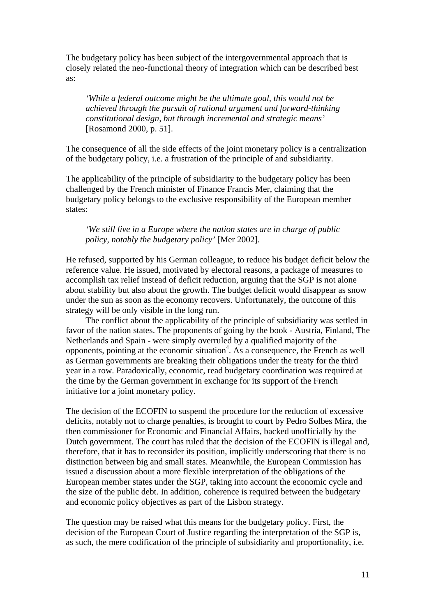The budgetary policy has been subject of the intergovernmental approach that is closely related the neo-functional theory of integration which can be described best as:

*'While a federal outcome might be the ultimate goal, this would not be achieved through the pursuit of rational argument and forward-thinking constitutional design, but through incremental and strategic means'* [Rosamond 2000, p. 51].

The consequence of all the side effects of the joint monetary policy is a centralization of the budgetary policy, i.e. a frustration of the principle of and subsidiarity.

The applicability of the principle of subsidiarity to the budgetary policy has been challenged by the French minister of Finance Francis Mer, claiming that the budgetary policy belongs to the exclusive responsibility of the European member states:

# *'We still live in a Europe where the nation states are in charge of public policy, notably the budgetary policy'* [Mer 2002].

He refused, supported by his German colleague, to reduce his budget deficit below the reference value. He issued, motivated by electoral reasons, a package of measures to accomplish tax relief instead of deficit reduction, arguing that the SGP is not alone about stability but also about the growth. The budget deficit would disappear as snow under the sun as soon as the economy recovers. Unfortunately, the outcome of this strategy will be only visible in the long run.

The conflict about the applicability of the principle of subsidiarity was settled in favor of the nation states. The proponents of going by the book - Austria, Finland, The Netherlands and Spain - were simply overruled by a qualified majority of the opponents, pointing at the economic situation<sup>4</sup>. As a consequence, the French as well as German governments are breaking their obligations under the treaty for the third year in a row. Paradoxically, economic, read budgetary coordination was required at the time by the German government in exchange for its support of the French initiative for a joint monetary policy.

The decision of the ECOFIN to suspend the procedure for the reduction of excessive deficits, notably not to charge penalties, is brought to court by Pedro Solbes Mira, the then commissioner for Economic and Financial Affairs, backed unofficially by the Dutch government. The court has ruled that the decision of the ECOFIN is illegal and, therefore, that it has to reconsider its position, implicitly underscoring that there is no distinction between big and small states. Meanwhile, the European Commission has issued a discussion about a more flexible interpretation of the obligations of the European member states under the SGP, taking into account the economic cycle and the size of the public debt. In addition, coherence is required between the budgetary and economic policy objectives as part of the Lisbon strategy.

The question may be raised what this means for the budgetary policy. First, the decision of the European Court of Justice regarding the interpretation of the SGP is, as such, the mere codification of the principle of subsidiarity and proportionality, i.e.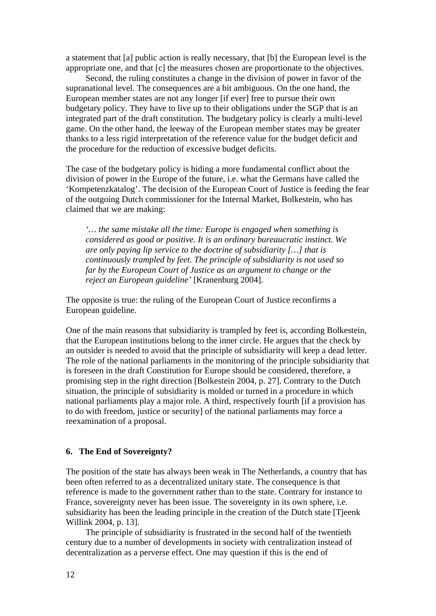a statement that [a] public action is really necessary, that [b] the European level is the appropriate one, and that [c] the measures chosen are proportionate to the objectives.

Second, the ruling constitutes a change in the division of power in favor of the supranational level. The consequences are a bit ambiguous. On the one hand, the European member states are not any longer [if ever] free to pursue their own budgetary policy. They have to live up to their obligations under the SGP that is an integrated part of the draft constitution. The budgetary policy is clearly a multi-level game. On the other hand, the leeway of the European member states may be greater thanks to a less rigid interpretation of the reference value for the budget deficit and the procedure for the reduction of excessive budget deficits.

The case of the budgetary policy is hiding a more fundamental conflict about the division of power in the Europe of the future, i.e. what the Germans have called the 'Kompetenzkatalog'. The decision of the European Court of Justice is feeding the fear of the outgoing Dutch commissioner for the Internal Market, Bolkestein, who has claimed that we are making:

*'… the same mistake all the time: Europe is engaged when something is considered as good or positive. It is an ordinary bureaucratic instinct. We are only paying lip service to the doctrine of subsidiarity […] that is continuously trampled by feet. The principle of subsidiarity is not used so far by the European Court of Justice as an argument to change or the reject an European guideline'* [Kranenburg 2004].

The opposite is true: the ruling of the European Court of Justice reconfirms a European guideline.

One of the main reasons that subsidiarity is trampled by feet is, according Bolkestein, that the European institutions belong to the inner circle. He argues that the check by an outsider is needed to avoid that the principle of subsidiarity will keep a dead letter. The role of the national parliaments in the monitoring of the principle subsidiarity that is foreseen in the draft Constitution for Europe should be considered, therefore, a promising step in the right direction [Bolkestein 2004, p. 27]. Contrary to the Dutch situation, the principle of subsidiarity is molded or turned in a procedure in which national parliaments play a major role. A third, respectively fourth [if a provision has to do with freedom, justice or security] of the national parliaments may force a reexamination of a proposal.

#### **6. The End of Sovereignty?**

The position of the state has always been weak in The Netherlands, a country that has been often referred to as a decentralized unitary state. The consequence is that reference is made to the government rather than to the state. Contrary for instance to France, sovereignty never has been issue. The sovereignty in its own sphere, i.e. subsidiarity has been the leading principle in the creation of the Dutch state [Tjeenk Willink 2004, p. 13].

The principle of subsidiarity is frustrated in the second half of the twentieth century due to a number of developments in society with centralization instead of decentralization as a perverse effect. One may question if this is the end of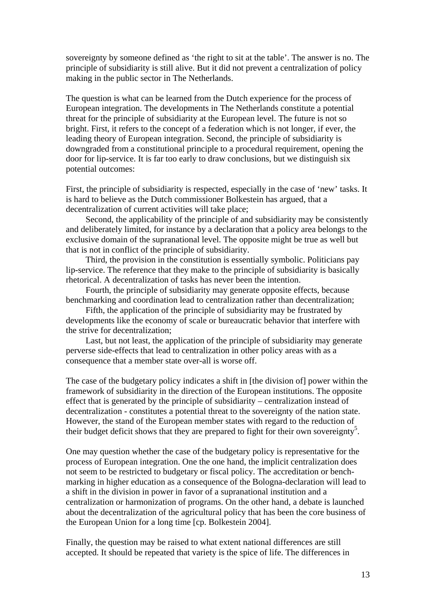sovereignty by someone defined as 'the right to sit at the table'. The answer is no. The principle of subsidiarity is still alive. But it did not prevent a centralization of policy making in the public sector in The Netherlands.

The question is what can be learned from the Dutch experience for the process of European integration. The developments in The Netherlands constitute a potential threat for the principle of subsidiarity at the European level. The future is not so bright. First, it refers to the concept of a federation which is not longer, if ever, the leading theory of European integration. Second, the principle of subsidiarity is downgraded from a constitutional principle to a procedural requirement, opening the door for lip-service. It is far too early to draw conclusions, but we distinguish six potential outcomes:

First, the principle of subsidiarity is respected, especially in the case of 'new' tasks. It is hard to believe as the Dutch commissioner Bolkestein has argued, that a decentralization of current activities will take place;

Second, the applicability of the principle of and subsidiarity may be consistently and deliberately limited, for instance by a declaration that a policy area belongs to the exclusive domain of the supranational level. The opposite might be true as well but that is not in conflict of the principle of subsidiarity.

Third, the provision in the constitution is essentially symbolic. Politicians pay lip-service. The reference that they make to the principle of subsidiarity is basically rhetorical. A decentralization of tasks has never been the intention.

Fourth, the principle of subsidiarity may generate opposite effects, because benchmarking and coordination lead to centralization rather than decentralization;

Fifth, the application of the principle of subsidiarity may be frustrated by developments like the economy of scale or bureaucratic behavior that interfere with the strive for decentralization;

Last, but not least, the application of the principle of subsidiarity may generate perverse side-effects that lead to centralization in other policy areas with as a consequence that a member state over-all is worse off.

The case of the budgetary policy indicates a shift in [the division of] power within the framework of subsidiarity in the direction of the European institutions. The opposite effect that is generated by the principle of subsidiarity – centralization instead of decentralization - constitutes a potential threat to the sovereignty of the nation state. However, the stand of the European member states with regard to the reduction of their budget deficit shows that they are prepared to fight for their own sovereignty<sup>5</sup>.

One may question whether the case of the budgetary policy is representative for the process of European integration. One the one hand, the implicit centralization does not seem to be restricted to budgetary or fiscal policy. The accreditation or benchmarking in higher education as a consequence of the Bologna-declaration will lead to a shift in the division in power in favor of a supranational institution and a centralization or harmonization of programs. On the other hand, a debate is launched about the decentralization of the agricultural policy that has been the core business of the European Union for a long time [cp. Bolkestein 2004].

Finally, the question may be raised to what extent national differences are still accepted. It should be repeated that variety is the spice of life. The differences in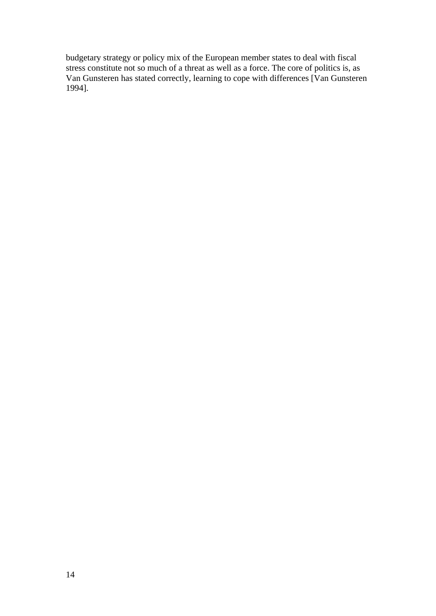budgetary strategy or policy mix of the European member states to deal with fiscal stress constitute not so much of a threat as well as a force. The core of politics is, as Van Gunsteren has stated correctly, learning to cope with differences [Van Gunsteren 1994].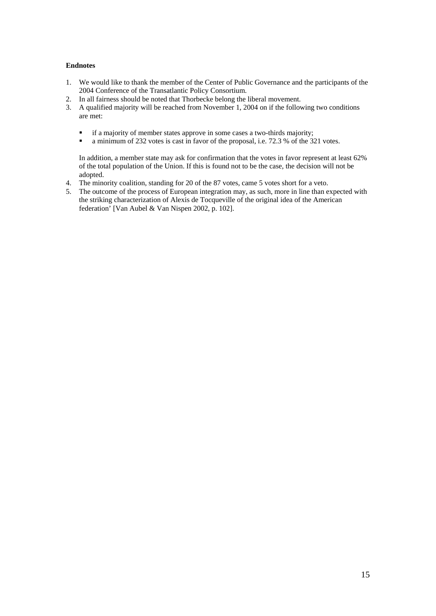#### **Endnotes**

- 1. We would like to thank the member of the Center of Public Governance and the participants of the 2004 Conference of the Transatlantic Policy Consortium.
- 2. In all fairness should be noted that Thorbecke belong the liberal movement.
- 3. A qualified majority will be reached from November 1, 2004 on if the following two conditions are met:
	- **i** if a majority of member states approve in some cases a two-thirds majority;
	- a minimum of 232 votes is cast in favor of the proposal, i.e. 72.3 % of the 321 votes.

In addition, a member state may ask for confirmation that the votes in favor represent at least 62% of the total population of the Union. If this is found not to be the case, the decision will not be adopted.

- 4. The minority coalition, standing for 20 of the 87 votes, came 5 votes short for a veto.
- 5. The outcome of the process of European integration may, as such, more in line than expected with the striking characterization of Alexis de Tocqueville of the original idea of the American federation' [Van Aubel & Van Nispen 2002, p. 102].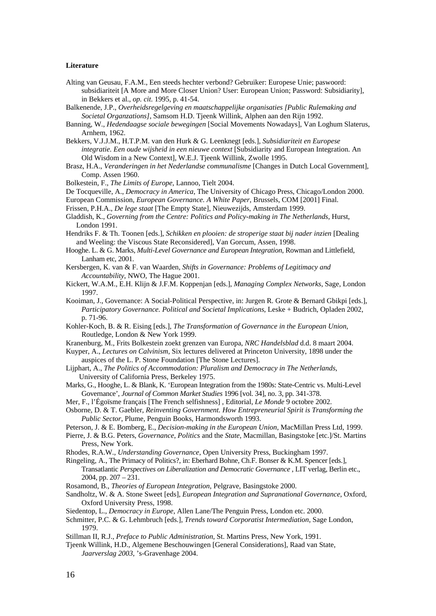#### **Literature**

- Alting van Geusau, F.A.M., Een steeds hechter verbond? Gebruiker: Europese Unie; paswoord: subsidiariteit [A More and More Closer Union? User: European Union; Password: Subsidiarity], in Bekkers et al., *op. cit*. 1995, p. 41-54.
- Balkenende, J.P., *Overheidsregelgeving en maatschappelijke organisaties [Public Rulemaking and Societal Organzations]*, Samsom H.D. Tjeenk Willink, Alphen aan den Rijn 1992.
- Banning, W., *Hedendaagse sociale bewegingen* [Social Movements Nowadays], Van Loghum Slaterus, Arnhem, 1962.
- Bekkers, V.J.J.M., H.T.P.M. van den Hurk & G. Leenknegt [eds.], *Subsidiariteit en Europese integratie. Een oude wijsheid in een nieuwe context* [Subsidiarity and European Integration. An Old Wisdom in a New Context], W.E.J. Tjeenk Willink, Zwolle 1995.
- Brasz, H.A., *Veranderingen in het Nederlandse communalisme* [Changes in Dutch Local Government], Comp. Assen 1960.
- Bolkestein, F., *The Limits of Europe*, Lannoo, Tielt 2004.
- De Tocqueville, A., *Democracy in America*, The University of Chicago Press, Chicago/London 2000.
- European Commission, *European Governance. A White Paper*, Brussels, COM [2001] Final.
- Frissen, P.H.A., *De lege staat* [The Empty State], Nieuwezijds, Amsterdam 1999.
- Gladdish, K., *Governing from the Centre: Politics and Policy-making in The Netherlands*, Hurst, London 1991.
- Hendriks F. & Th. Toonen [eds.], *Schikken en plooien: de stroperige staat bij nader inzien* [Dealing] and Weeling: the Viscous State Reconsidered], Van Gorcum, Assen, 1998.
- Hooghe. L. & G. Marks, *Multi-Level Governance and European Integration*, Rowman and Littlefield, Lanham etc, 2001.
- Kersbergen, K. van & F. van Waarden*, Shifts in Governance: Problems of Legitimacy and Accountability*, NWO, The Hague 2001.
- Kickert, W.A.M., E.H. Klijn & J.F.M. Koppenjan [eds.], *Managing Complex Networks*, Sage, London 1997.
- Kooiman, J., Governance: A Social-Political Perspective, in: Jurgen R. Grote & Bernard Gbikpi [eds.], *Participatory Governance. Political and Societal Implications*, Leske + Budrich, Opladen 2002, p. 71-96.
- Kohler-Koch, B. & R. Eising [eds.], *The Transformation of Governance in the European Union*, Routledge, London & New York 1999.
- Kranenburg, M., Frits Bolkestein zoekt grenzen van Europa, *NRC Handelsblad* d.d. 8 maart 2004.
- Kuyper, A., *Lectures on Calvinism*, Six lectures delivered at Princeton University, 1898 under the auspices of the L. P. Stone Foundation [The Stone Lectures].
- Lijphart, A., *The Politics of Accommodation: Pluralism and Democracy in The Netherlands*, University of California Press, Berkeley 1975.
- Marks, G., Hooghe, L. & Blank, K. 'European Integration from the 1980s: State-Centric vs. Multi-Level Governance', *Journal of Common Market Studies* 1996 [vol. 34], no. 3, pp. 341-378.
- Mer, F., l'Égoïsme français [The French selfishness] , Editorial, *Le Monde* 9 octobre 2002.
- Osborne, D. & T. Gaebler, *Reinventing Government. How Entrepreneurial Spirit is Transforming the Public Sector*, Plume, Penguin Books, Harmondsworth 1993.
- Peterson, J. & E. Bomberg, E., *Decision-making in the European Union*, MacMillan Press Ltd, 1999.
- Pierre, J. & B.G. Peters, *Governance*, *Politics* and the *State*, Macmillan, Basingstoke [etc.]/St. Martins Press, New York.
- Rhodes, R.A.W., *Understanding Governance*, Open University Press, Buckingham 1997.
- Ringeling, A., The Primacy of Politics?, in: Eberhard Bohne, Ch.F. Bonser & K.M. Spencer [eds.], Transatlantic *Perspectives on Liberalization and Democratic Governance* , LIT verlag, Berlin etc., 2004, pp.  $207 - 231$ .
- Rosamond, B., *Theories of European Integration*, Pelgrave, Basingstoke 2000.
- Sandholtz, W. & A. Stone Sweet [eds], *European Integration and Supranational Governance*, Oxford, Oxford University Press, 1998.
- Siedentop, L., *Democracy in Europe*, Allen Lane/The Penguin Press, London etc. 2000.
- Schmitter, P.C. & G. Lehmbruch [eds.], *Trends toward Corporatist Intermediation*, Sage London, 1979.
- Stillman II, R.J., *Preface to Public Administration*, St. Martins Press, New York, 1991.
- Tjeenk Willink, H.D., Algemene Beschouwingen [General Considerations], Raad van State, *Jaarverslag 2003*, 's-Gravenhage 2004.